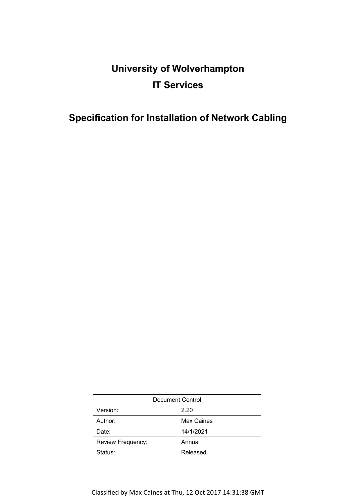# **University of Wolverhampton IT Services**

## **Specification for Installation of Network Cabling**

| Document Control  |                   |
|-------------------|-------------------|
| Version:          | 2.20              |
| Author:           | <b>Max Caines</b> |
| Date:             | 14/1/2021         |
| Review Frequency: | Annual            |
| Status:           | Released          |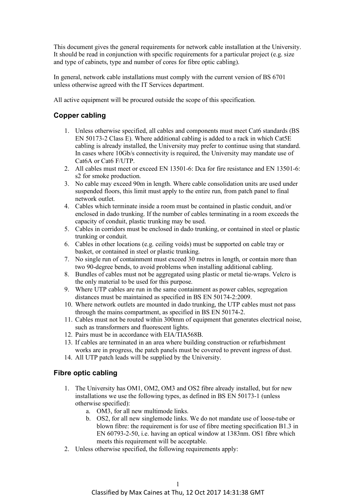This document gives the general requirements for network cable installation at the University. It should be read in conjunction with specific requirements for a particular project (e.g. size and type of cabinets, type and number of cores for fibre optic cabling).

In general, network cable installations must comply with the current version of BS 6701 unless otherwise agreed with the IT Services department.

All active equipment will be procured outside the scope of this specification.

#### **Copper cabling**

- 1. Unless otherwise specified, all cables and components must meet Cat6 standards (BS EN 50173-2 Class E). Where additional cabling is added to a rack in which Cat5E cabling is already installed, the University may prefer to continue using that standard. In cases where 10Gb/s connectivity is required, the University may mandate use of Cat6A or Cat6 F/UTP.
- 2. All cables must meet or exceed EN 13501-6: Dca for fire resistance and EN 13501-6: s2 for smoke production.
- 3. No cable may exceed 90m in length. Where cable consolidation units are used under suspended floors, this limit must apply to the entire run, from patch panel to final network outlet.
- 4. Cables which terminate inside a room must be contained in plastic conduit, and/or enclosed in dado trunking. If the number of cables terminating in a room exceeds the capacity of conduit, plastic trunking may be used.
- 5. Cables in corridors must be enclosed in dado trunking, or contained in steel or plastic trunking or conduit.
- 6. Cables in other locations (e.g. ceiling voids) must be supported on cable tray or basket, or contained in steel or plastic trunking.
- 7. No single run of containment must exceed 30 metres in length, or contain more than two 90-degree bends, to avoid problems when installing additional cabling.
- 8. Bundles of cables must not be aggregated using plastic or metal tie-wraps. Velcro is the only material to be used for this purpose.
- 9. Where UTP cables are run in the same containment as power cables, segregation distances must be maintained as specified in BS EN 50174-2:2009.
- 10. Where network outlets are mounted in dado trunking, the UTP cables must not pass through the mains compartment, as specified in BS EN 50174-2.
- 11. Cables must not be routed within 300mm of equipment that generates electrical noise, such as transformers and fluorescent lights.
- 12. Pairs must be in accordance with EIA/TIA568B.
- 13. If cables are terminated in an area where building construction or refurbishment works are in progress, the patch panels must be covered to prevent ingress of dust.
- 14. All UTP patch leads will be supplied by the University.

#### **Fibre optic cabling**

- 1. The University has OM1, OM2, OM3 and OS2 fibre already installed, but for new installations we use the following types, as defined in BS EN 50173-1 (unless otherwise specified):
	- a. OM3, for all new multimode links.
	- b. OS2, for all new singlemode links. We do not mandate use of loose-tube or blown fibre: the requirement is for use of fibre meeting specification B1.3 in EN 60793-2-50, i.e. having an optical window at 1383nm. OS1 fibre which meets this requirement will be acceptable.
- 2. Unless otherwise specified, the following requirements apply: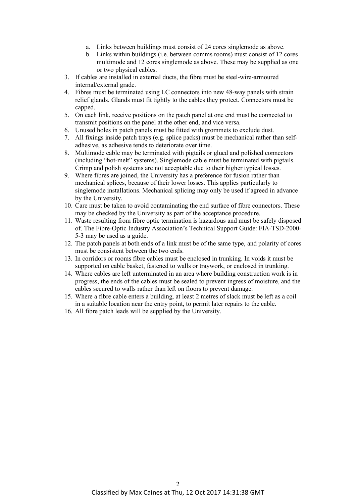- a. Links between buildings must consist of 24 cores singlemode as above.
- b. Links within buildings (i.e. between comms rooms) must consist of 12 cores multimode and 12 cores singlemode as above. These may be supplied as one or two physical cables.
- 3. If cables are installed in external ducts, the fibre must be steel-wire-armoured internal/external grade.
- 4. Fibres must be terminated using LC connectors into new 48-way panels with strain relief glands. Glands must fit tightly to the cables they protect. Connectors must be capped.
- 5. On each link, receive positions on the patch panel at one end must be connected to transmit positions on the panel at the other end, and vice versa.
- 6. Unused holes in patch panels must be fitted with grommets to exclude dust.
- 7. All fixings inside patch trays (e.g. splice packs) must be mechanical rather than selfadhesive, as adhesive tends to deteriorate over time.
- 8. Multimode cable may be terminated with pigtails or glued and polished connectors (including "hot-melt" systems). Singlemode cable must be terminated with pigtails. Crimp and polish systems are not acceptable due to their higher typical losses.
- 9. Where fibres are joined, the University has a preference for fusion rather than mechanical splices, because of their lower losses. This applies particularly to singlemode installations. Mechanical splicing may only be used if agreed in advance by the University.
- 10. Care must be taken to avoid contaminating the end surface of fibre connectors. These may be checked by the University as part of the acceptance procedure.
- 11. Waste resulting from fibre optic termination is hazardous and must be safely disposed of. The Fibre-Optic Industry Association's Technical Support Guide: FIA-TSD-2000- 5-3 may be used as a guide.
- 12. The patch panels at both ends of a link must be of the same type, and polarity of cores must be consistent between the two ends.
- 13. In corridors or rooms fibre cables must be enclosed in trunking. In voids it must be supported on cable basket, fastened to walls or traywork, or enclosed in trunking.
- 14. Where cables are left unterminated in an area where building construction work is in progress, the ends of the cables must be sealed to prevent ingress of moisture, and the cables secured to walls rather than left on floors to prevent damage.
- 15. Where a fibre cable enters a building, at least 2 metres of slack must be left as a coil in a suitable location near the entry point, to permit later repairs to the cable.
- 16. All fibre patch leads will be supplied by the University.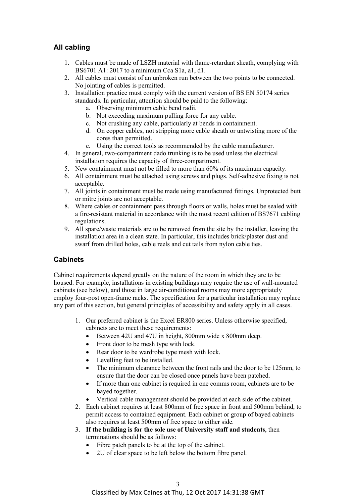### **All cabling**

- 1. Cables must be made of LSZH material with flame-retardant sheath, complying with BS6701 A1: 2017 to a minimum Cca S1a, a1, d1.
- 2. All cables must consist of an unbroken run between the two points to be connected. No jointing of cables is permitted.
- 3. Installation practice must comply with the current version of BS EN 50174 series standards. In particular, attention should be paid to the following:
	- a. Observing minimum cable bend radii.
	- b. Not exceeding maximum pulling force for any cable.
	- c. Not crushing any cable, particularly at bends in containment.
	- d. On copper cables, not stripping more cable sheath or untwisting more of the cores than permitted.
	- e. Using the correct tools as recommended by the cable manufacturer.
- 4. In general, two-compartment dado trunking is to be used unless the electrical installation requires the capacity of three-compartment.
- 5. New containment must not be filled to more than 60% of its maximum capacity.
- 6. All containment must be attached using screws and plugs. Self-adhesive fixing is not acceptable.
- 7. All joints in containment must be made using manufactured fittings. Unprotected butt or mitre joints are not acceptable.
- 8. Where cables or containment pass through floors or walls, holes must be sealed with a fire-resistant material in accordance with the most recent edition of BS7671 cabling regulations.
- 9. All spare/waste materials are to be removed from the site by the installer, leaving the installation area in a clean state. In particular, this includes brick/plaster dust and swarf from drilled holes, cable reels and cut tails from nylon cable ties.

#### **Cabinets**

Cabinet requirements depend greatly on the nature of the room in which they are to be housed. For example, installations in existing buildings may require the use of wall-mounted cabinets (see below), and those in large air-conditioned rooms may more appropriately employ four-post open-frame racks. The specification for a particular installation may replace any part of this section, but general principles of accessibility and safety apply in all cases.

- 1. Our preferred cabinet is the Excel ER800 series. Unless otherwise specified, cabinets are to meet these requirements:
	- Between 42U and 47U in height, 800mm wide x 800mm deep.
	- Front door to be mesh type with lock.
	- Rear door to be wardrobe type mesh with lock.
	- Levelling feet to be installed.
	- The minimum clearance between the front rails and the door to be 125mm, to ensure that the door can be closed once panels have been patched.
	- If more than one cabinet is required in one comms room, cabinets are to be bayed together.
	- Vertical cable management should be provided at each side of the cabinet.
- 2. Each cabinet requires at least 800mm of free space in front and 500mm behind, to permit access to contained equipment. Each cabinet or group of bayed cabinets also requires at least 500mm of free space to either side.
- 3. **If the building is for the sole use of University staff and students**, then terminations should be as follows:
	- Fibre patch panels to be at the top of the cabinet.
	- 2U of clear space to be left below the bottom fibre panel.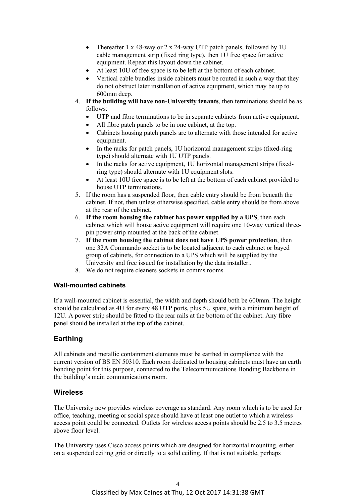- Thereafter 1 x 48-way or 2 x 24-way UTP patch panels, followed by 1U cable management strip (fixed ring type), then 1U free space for active equipment. Repeat this layout down the cabinet.
- At least 10U of free space is to be left at the bottom of each cabinet.
- Vertical cable bundles inside cabinets must be routed in such a way that they do not obstruct later installation of active equipment, which may be up to 600mm deep.
- 4. **If the building will have non-University tenants**, then terminations should be as follows:
	- UTP and fibre terminations to be in separate cabinets from active equipment.
	- All fibre patch panels to be in one cabinet, at the top.
	- Cabinets housing patch panels are to alternate with those intended for active equipment.
	- In the racks for patch panels, 1U horizontal management strips (fixed-ring) type) should alternate with 1U UTP panels.
	- In the racks for active equipment, 1U horizontal management strips (fixedring type) should alternate with 1U equipment slots.
	- At least 10U free space is to be left at the bottom of each cabinet provided to house UTP terminations.
- 5. If the room has a suspended floor, then cable entry should be from beneath the cabinet. If not, then unless otherwise specified, cable entry should be from above at the rear of the cabinet.
- 6. **If the room housing the cabinet has power supplied by a UPS**, then each cabinet which will house active equipment will require one 10-way vertical threepin power strip mounted at the back of the cabinet.
- 7. **If the room housing the cabinet does not have UPS power protection**, then one 32A Commando socket is to be located adjacent to each cabinet or bayed group of cabinets, for connection to a UPS which will be supplied by the University and free issued for installation by the data installer..
- 8. We do not require cleaners sockets in comms rooms.

#### **Wall-mounted cabinets**

If a wall-mounted cabinet is essential, the width and depth should both be 600mm. The height should be calculated as 4U for every 48 UTP ports, plus 5U spare, with a minimum height of 12U. A power strip should be fitted to the rear rails at the bottom of the cabinet. Any fibre panel should be installed at the top of the cabinet.

#### **Earthing**

All cabinets and metallic containment elements must be earthed in compliance with the current version of BS EN 50310. Each room dedicated to housing cabinets must have an earth bonding point for this purpose, connected to the Telecommunications Bonding Backbone in the building's main communications room.

#### **Wireless**

The University now provides wireless coverage as standard. Any room which is to be used for office, teaching, meeting or social space should have at least one outlet to which a wireless access point could be connected. Outlets for wireless access points should be 2.5 to 3.5 metres above floor level.

The University uses Cisco access points which are designed for horizontal mounting, either on a suspended ceiling grid or directly to a solid ceiling. If that is not suitable, perhaps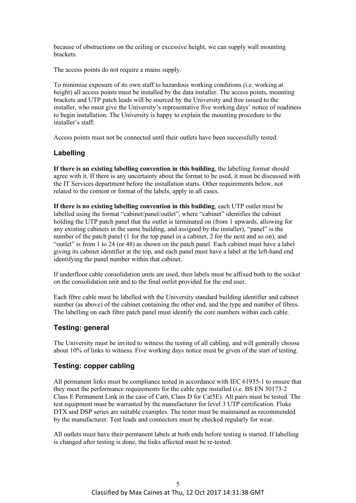because of obstructions on the ceiling or excessive height, we can supply wall mounting brackets.

The access points do not require a mains supply.

To minimise exposure of its own staff to hazardous working conditions (i.e. working at height) all access points must be installed by the data installer. The access points, mounting brackets and UTP patch leads will be sourced by the University and free issued to the installer, who must give the University's representative five working days' notice of readiness to begin installation. The University is happy to explain the mounting procedure to the installer's staff.

Access points must not be connected until their outlets have been successfully tested.

#### **Labelling**

**If there is an existing labelling convention in this building**, the labelling format should agree with it. If there is any uncertainty about the format to be used, it must be discussed with the IT Services department before the installation starts. Other requirements below, not related to the content or format of the labels, apply in all cases.

**If there is no existing labelling convention in this building**, each UTP outlet must be labelled using the format "cabinet/panel/outlet", where "cabinet" identifies the cabinet holding the UTP patch panel that the outlet is terminated on (from 1 upwards, allowing for any existing cabinets in the same building, and assigned by the installer), "panel" is the number of the patch panel (1 for the top panel in a cabinet, 2 for the next and so on), and "outlet" is from 1 to 24 (or 48) as shown on the patch panel. Each cabinet must have a label giving its cabinet identifier at the top, and each panel must have a label at the left-hand end identifying the panel number within that cabinet.

If underfloor cable consolidation units are used, then labels must be affixed both to the socket on the consolidation unit and to the final outlet provided for the end user.

Each fibre cable must be labelled with the University standard building identifier and cabinet number (as above) of the cabinet containing the other end, and the type and number of fibres. The labelling on each fibre patch panel must identify the core numbers within each cable.

#### **Testing: general**

The University must be invited to witness the testing of all cabling, and will generally choose about 10% of links to witness. Five working days notice must be given of the start of testing.

#### **Testing: copper cabling**

All permanent links must be compliance tested in accordance with IEC 61935-1 to ensure that they meet the performance requirements for the cable type installed (i.e. BS EN 50173-2 Class E Permanent Link in the case of Cat6, Class D for Cat5E). All pairs must be tested. The test equipment must be warranted by the manufacturer for level 3 UTP certification. Fluke DTX and DSP series are suitable examples. The tester must be maintained as recommended by the manufacturer. Test leads and connectors must be checked regularly for wear.

All outlets must have their permanent labels at both ends before testing is started. If labelling is changed after testing is done, the links affected must be re-tested.